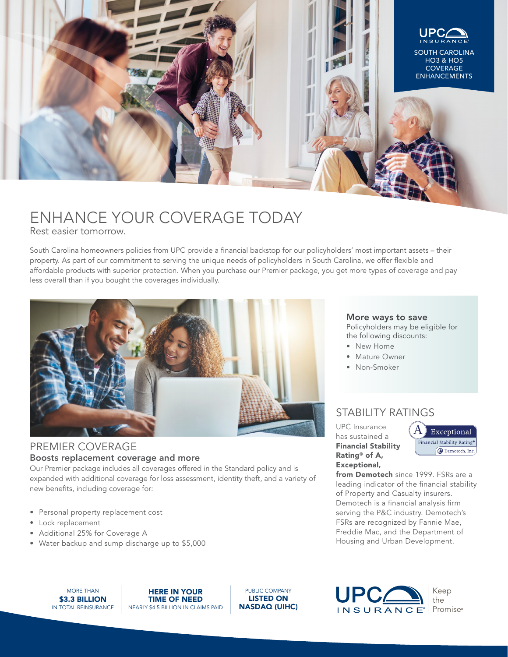

# ENHANCE YOUR COVERAGE TODAY

Rest easier tomorrow.

South Carolina homeowners policies from UPC provide a financial backstop for our policyholders' most important assets – their property. As part of our commitment to serving the unique needs of policyholders in South Carolina, we offer flexible and affordable products with superior protection. When you purchase our Premier package, you get more types of coverage and pay less overall than if you bought the coverages individually.



#### PREMIER COVERAGE Boosts replacement coverage and more

Our Premier package includes all coverages offered in the Standard policy and is expanded with additional coverage for loss assessment, identity theft, and a variety of new benefits, including coverage for:

- Personal property replacement cost
- Lock replacement
- Additional 25% for Coverage A
- Water backup and sump discharge up to \$5,000

# More ways to save

Policyholders may be eligible for the following discounts:

- New Home
- Mature Owner
- Non-Smoker

### STABILITY RATINGS

UPC Insurance has sustained a Financial Stability Rating® of A, Exceptional,



from Demotech since 1999. FSRs are a leading indicator of the financial stability of Property and Casualty insurers. Demotech is a financial analysis firm serving the P&C industry. Demotech's FSRs are recognized by Fannie Mae, Freddie Mac, and the Department of Housing and Urban Development.

MORE THAN \$3.3 BILLION IN TOTAL REINSURANCE

HERE IN YOUR TIME OF NEED NEARLY \$4.5 BILLION IN CLAIMS PAID

PUBLIC COMPANY LISTED ON NASDAQ (UIHC)